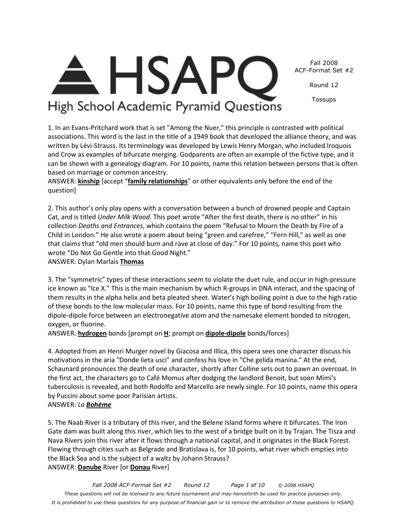*Fall 2008 ACF-Format Set #2 Round 12 Page 1 of 10 © 2008 HSAPQ These questions will not be licensed to any future tournament and may henceforth be used for practice purposes only. It is prohibited to use these questions for any purpose of financial gain or to remove the attribution of these questions to HSAPQ.* 

## Fall 2008 ACF-Format Set #2

Round 12

Tossups

# High School Academic Pyramid Questions

**HSAP** 

1. In an Evans-Pritchard work that is set "Among the Nuer," this principle is contrasted with political associations. This word is the last in the title of a 1949 book that developed the alliance theory, and was written by Lévi-Strauss. Its terminology was developed by Lewis Henry Morgan, who included Iroquois and Crow as examples of bifurcate merging. Godparents are often an example of the fictive type, and it can be shown with a genealogy diagram. For 10 points, name this relation between persons that is often based on marriage or common ancestry.

ANSWER: **kinship** [accept "**family relationships**" or other equivalents only before the end of the question]

2. This author's only play opens with a conversation between a bunch of drowned people and Captain Cat, and is titled *Under Milk Wood*. This poet wrote "After the first death, there is no other" in his collection *Deaths and Entrances*, which contains the poem "Refusal to Mourn the Death by Fire of a Child in London." He also wrote a poem about being "green and carefree," "Fern Hill," as well as one that claims that "old men should burn and rave at close of day." For 10 points, name this poet who wrote "Do Not Go Gentle into that Good Night."

ANSWER: Dylan Marlais **Thomas**

3. The "symmetric" types of these interactions seem to violate the duet rule, and occur in high-pressure ice known as "Ice X." This is the main mechanism by which R-groups in DNA interact, and the spacing of them results in the alpha helix and beta pleated sheet. Water's high boiling point is due to the high ratio of these bonds to the low molecular mass. For 10 points, name this type of bond resulting from the dipole-dipole force between an electronegative atom and the namesake element bonded to nitrogen, oxygen, or fluorine.

ANSWER: **hydrogen** bonds [prompt on **H**; prompt on **dipole-dipole** bonds/forces]

4. Adopted from an Henri Murger novel by Giacosa and Illica, this opera sees one character discuss his motivations in the aria "Donde lieta usci" and confess his love in "Che gelida manina." At the end, Schaunard pronounces the death of one character, shortly after Colline sets out to pawn an overcoat. In the first act, the characters go to Café Momus after dodging the landlord Benoit, but soon Mimi's tuberculosis is revealed, and both Rodolfo and Marcello are newly single. For 10 points, name this opera by Puccini about some poor Parisian artists.

## ANSWER: *La Bohème*

5. The Naab River is a tributary of this river, and the Belene Island forms where it bifurcates. The Iron Gate dam was built along this river, which lies to the west of a bridge built on it by Trajan. The Tisza and Nava Rivers join this river after it flows through a national capital, and it originates in the Black Forest. Flowing through cities such as Belgrade and Bratislava is, for 10 points, what river which empties into the Black Sea and is the subject of a waltz by Johann Strauss? ANSWER: **Danube** River [or **Donau** River]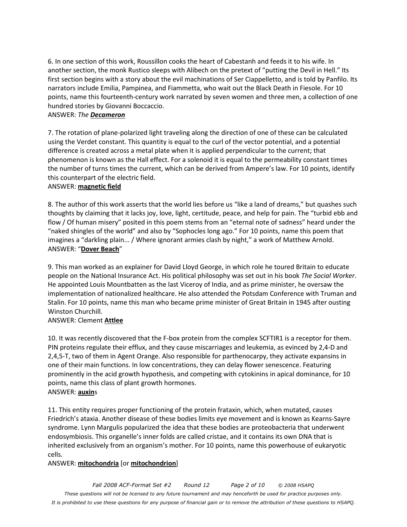6. In one section of this work, Roussillon cooks the heart of Cabestanh and feeds it to his wife. In another section, the monk Rustico sleeps with Alibech on the pretext of "putting the Devil in Hell." Its first section begins with a story about the evil machinations of Ser Ciappelletto, and is told by Panfilo. Its narrators include Emilia, Pampinea, and Fiammetta, who wait out the Black Death in Fiesole. For 10 points, name this fourteenth-century work narrated by seven women and three men, a collection of one hundred stories by Giovanni Boccaccio.

#### ANSWER: *The Decameron*

7. The rotation of plane-polarized light traveling along the direction of one of these can be calculated using the Verdet constant. This quantity is equal to the curl of the vector potential, and a potential difference is created across a metal plate when it is applied perpendicular to the current; that phenomenon is known as the Hall effect. For a solenoid it is equal to the permeability constant times the number of turns times the current, which can be derived from Ampere's law. For 10 points, identify this counterpart of the electric field.

#### ANSWER: **magnetic field**

8. The author of this work asserts that the world lies before us "like a land of dreams," but quashes such thoughts by claiming that it lacks joy, love, light, certitude, peace, and help for pain. The "turbid ebb and flow / Of human misery" posited in this poem stems from an "eternal note of sadness" heard under the "naked shingles of the world" and also by "Sophocles long ago." For 10 points, name this poem that imagines a "darkling plain... / Where ignorant armies clash by night," a work of Matthew Arnold. ANSWER: "**Dover Beach**"

9. This man worked as an explainer for David Lloyd George, in which role he toured Britain to educate people on the National Insurance Act. His political philosophy was set out in his book *The Social Worker*. He appointed Louis Mountbatten as the last Viceroy of India, and as prime minister, he oversaw the implementation of nationalized healthcare. He also attended the Potsdam Conference with Truman and Stalin. For 10 points, name this man who became prime minister of Great Britain in 1945 after ousting Winston Churchill.

## ANSWER: Clement **Attlee**

10. It was recently discovered that the F-box protein from the complex SCFTIR1 is a receptor for them. PIN proteins regulate their efflux, and they cause miscarriages and leukemia, as evinced by 2,4-D and 2,4,5-T, two of them in Agent Orange. Also responsible for parthenocarpy, they activate expansins in one of their main functions. In low concentrations, they can delay flower senescence. Featuring prominently in the acid growth hypothesis, and competing with cytokinins in apical dominance, for 10 points, name this class of plant growth hormones. ANSWER: **auxin**s

11. This entity requires proper functioning of the protein frataxin, which, when mutated, causes Friedrich's ataxia. Another disease of these bodies limits eye movement and is known as Kearns-Sayre syndrome. Lynn Margulis popularized the idea that these bodies are proteobacteria that underwent endosymbiosis. This organelle's inner folds are called cristae, and it contains its own DNA that is inherited exclusively from an organism's mother. For 10 points, name this powerhouse of eukaryotic cells.

#### ANSWER: **mitochondria** [or **mitochondrion**]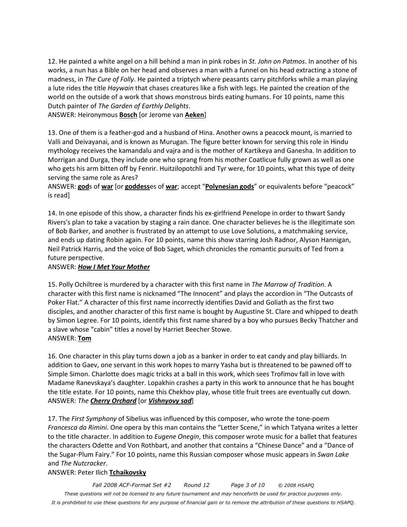12. He painted a white angel on a hill behind a man in pink robes in *St. John on Patmos*. In another of his works, a nun has a Bible on her head and observes a man with a funnel on his head extracting a stone of madness, in *The Cure of Folly*. He painted a triptych where peasants carry pitchforks while a man playing a lute rides the title *Haywain* that chases creatures like a fish with legs. He painted the creation of the world on the outside of a work that shows monstrous birds eating humans. For 10 points, name this Dutch painter of *The Garden of Earthly Delights*.

ANSWER: Heironymous **Bosch** [or Jerome van **Aeken**]

13. One of them is a feather-god and a husband of Hina. Another owns a peacock mount, is married to Valli and Deivayanai, and is known as Murugan. The figure better known for serving this role in Hindu mythology receives the kamandalu and vajra and is the mother of Kartikeya and Ganesha. In addition to Morrigan and Durga, they include one who sprang from his mother Coatlicue fully grown as well as one who gets his arm bitten off by Fenrir. Huitzilopotchli and Tyr were, for 10 points, what this type of deity serving the same role as Ares?

ANSWER: **god**s of **war** [or **goddess**es of **war**; accept "**Polynesian gods**" or equivalents before "peacock" is read]

14. In one episode of this show, a character finds his ex-girlfriend Penelope in order to thwart Sandy Rivers's plan to take a vacation by staging a rain dance. One character believes he is the illegitimate son of Bob Barker, and another is frustrated by an attempt to use Love Solutions, a matchmaking service, and ends up dating Robin again. For 10 points, name this show starring Josh Radnor, Alyson Hannigan, Neil Patrick Harris, and the voice of Bob Saget, which chronicles the romantic pursuits of Ted from a future perspective.

#### ANSWER: *How I Met Your Mother*

15. Polly Ochiltree is murdered by a character with this first name in *The Marrow of Tradition*. A character with this first name is nicknamed "The Innocent" and plays the accordion in "The Outcasts of Poker Flat." A character of this first name incorrectly identifies David and Goliath as the first two disciples, and another character of this first name is bought by Augustine St. Clare and whipped to death by Simon Legree. For 10 points, identify this first name shared by a boy who pursues Becky Thatcher and a slave whose "cabin" titles a novel by Harriet Beecher Stowe. ANSWER: **Tom**

16. One character in this play turns down a job as a banker in order to eat candy and play billiards. In addition to Gaev, one servant in this work hopes to marry Yasha but is threatened to be pawned off to Simple Simon. Charlotte does magic tricks at a ball in this work, which sees Trofimov fall in love with Madame Ranevskaya's daughter. Lopakhin crashes a party in this work to announce that he has bought the title estate. For 10 points, name this Chekhov play, whose title fruit trees are eventually cut down. ANSWER: *The Cherry Orchard* [or *Vishnyovy sad*]

17. The *First Symphony* of Sibelius was influenced by this composer, who wrote the tone-poem *Francesca da Rimini*. One opera by this man contains the "Letter Scene," in which Tatyana writes a letter to the title character. In addition to *Eugene Onegin*, this composer wrote music for a ballet that features the characters Odette and Von Rothbart, and another that contains a "Chinese Dance" and a "Dance of the Sugar-Plum Fairy." For 10 points, name this Russian composer whose music appears in *Swan Lake* and *The Nutcracker*.

#### ANSWER: Peter Ilich **Tchaikovsky**

*Fall 2008 ACF-Format Set #2 Round 12 Page 3 of 10 © 2008 HSAPQ These questions will not be licensed to any future tournament and may henceforth be used for practice purposes only. It is prohibited to use these questions for any purpose of financial gain or to remove the attribution of these questions to HSAPQ.*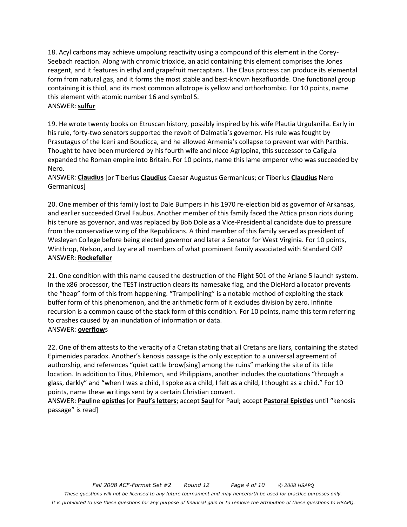18. Acyl carbons may achieve umpolung reactivity using a compound of this element in the Corey-Seebach reaction. Along with chromic trioxide, an acid containing this element comprises the Jones reagent, and it features in ethyl and grapefruit mercaptans. The Claus process can produce its elemental form from natural gas, and it forms the most stable and best-known hexafluoride. One functional group containing it is thiol, and its most common allotrope is yellow and orthorhombic. For 10 points, name this element with atomic number 16 and symbol S. ANSWER: **sulfur**

19. He wrote twenty books on Etruscan history, possibly inspired by his wife Plautia Urgulanilla. Early in his rule, forty-two senators supported the revolt of Dalmatia's governor. His rule was fought by Prasutagus of the Iceni and Boudicca, and he allowed Armenia's collapse to prevent war with Parthia. Thought to have been murdered by his fourth wife and niece Agrippina, this successor to Caligula expanded the Roman empire into Britain. For 10 points, name this lame emperor who was succeeded by Nero.

ANSWER: **Claudius** [or Tiberius **Claudius** Caesar Augustus Germanicus; or Tiberius **Claudius** Nero Germanicus]

20. One member of this family lost to Dale Bumpers in his 1970 re-election bid as governor of Arkansas, and earlier succeeded Orval Faubus. Another member of this family faced the Attica prison riots during his tenure as governor, and was replaced by Bob Dole as a Vice-Presidential candidate due to pressure from the conservative wing of the Republicans. A third member of this family served as president of Wesleyan College before being elected governor and later a Senator for West Virginia. For 10 points, Winthrop, Nelson, and Jay are all members of what prominent family associated with Standard Oil? ANSWER: **Rockefeller**

21. One condition with this name caused the destruction of the Flight 501 of the Ariane 5 launch system. In the x86 processor, the TEST instruction clears its namesake flag, and the DieHard allocator prevents the "heap" form of this from happening. "Trampolining" is a notable method of exploiting the stack buffer form of this phenomenon, and the arithmetic form of it excludes division by zero. Infinite recursion is a common cause of the stack form of this condition. For 10 points, name this term referring to crashes caused by an inundation of information or data. ANSWER: **overflow**s

22. One of them attests to the veracity of a Cretan stating that all Cretans are liars, containing the stated Epimenides paradox. Another's kenosis passage is the only exception to a universal agreement of authorship, and references "quiet cattle brow[sing] among the ruins" marking the site of its title location. In addition to Titus, Philemon, and Philippians, another includes the quotations "through a glass, darkly" and "when I was a child, I spoke as a child, I felt as a child, I thought as a child." For 10 points, name these writings sent by a certain Christian convert.

ANSWER: **Paul**ine **epistles** [or **Paul's letters**; accept **Saul** for Paul; accept **Pastoral Epistles** until "kenosis passage" is read]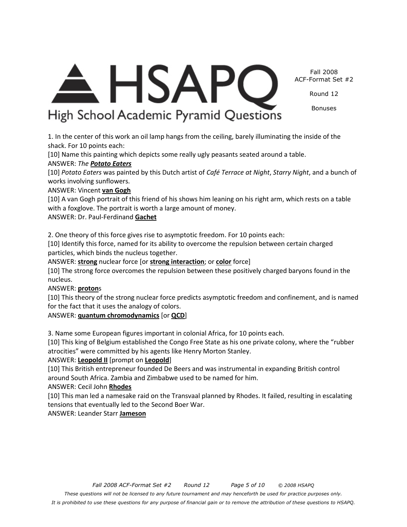A HSAPC High School Academic Pyramid Questions

1. In the center of this work an oil lamp hangs from the ceiling, barely illuminating the inside of the shack. For 10 points each:

[10] Name this painting which depicts some really ugly peasants seated around a table.

## ANSWER: *The Potato Eaters*

[10] *Potato Eaters* was painted by this Dutch artist of *Café Terrace at Night*, *Starry Night*, and a bunch of works involving sunflowers.

## ANSWER: Vincent **van Gogh**

[10] A van Gogh portrait of this friend of his shows him leaning on his right arm, which rests on a table with a foxglove. The portrait is worth a large amount of money.

ANSWER: Dr. Paul-Ferdinand **Gachet**

2. One theory of this force gives rise to asymptotic freedom. For 10 points each:

[10] Identify this force, named for its ability to overcome the repulsion between certain charged particles, which binds the nucleus together.

ANSWER: **strong** nuclear force [or **strong interaction**; or **color** force]

[10] The strong force overcomes the repulsion between these positively charged baryons found in the nucleus.

## ANSWER: **proton**s

[10] This theory of the strong nuclear force predicts asymptotic freedom and confinement, and is named for the fact that it uses the analogy of colors.

## ANSWER: **quantum chromodynamics** [or **QCD**]

3. Name some European figures important in colonial Africa, for 10 points each.

[10] This king of Belgium established the Congo Free State as his one private colony, where the "rubber atrocities" were committed by his agents like Henry Morton Stanley.

# ANSWER: **Leopold II** [prompt on **Leopold**]

[10] This British entrepreneur founded De Beers and was instrumental in expanding British control around South Africa. Zambia and Zimbabwe used to be named for him.

ANSWER: Cecil John **Rhodes**

[10] This man led a namesake raid on the Transvaal planned by Rhodes. It failed, resulting in escalating tensions that eventually led to the Second Boer War.

ANSWER: Leander Starr **Jameson**

#### Fall 2008 ACF-Format Set #2

Round 12

Bonuses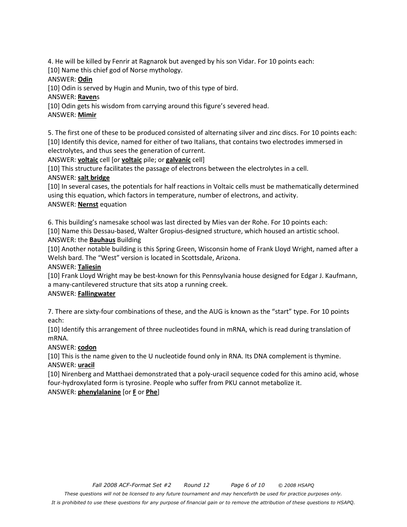4. He will be killed by Fenrir at Ragnarok but avenged by his son Vidar. For 10 points each:

[10] Name this chief god of Norse mythology.

ANSWER: **Odin**

[10] Odin is served by Hugin and Munin, two of this type of bird.

ANSWER: **Raven**s

[10] Odin gets his wisdom from carrying around this figure's severed head.

# ANSWER: **Mimir**

5. The first one of these to be produced consisted of alternating silver and zinc discs. For 10 points each: [10] Identify this device, named for either of two Italians, that contains two electrodes immersed in electrolytes, and thus sees the generation of current.

ANSWER: **voltaic** cell [or **voltaic** pile; or **galvanic** cell]

[10] This structure facilitates the passage of electrons between the electrolytes in a cell. ANSWER: **salt bridge**

[10] In several cases, the potentials for half reactions in Voltaic cells must be mathematically determined using this equation, which factors in temperature, number of electrons, and activity. ANSWER: **Nernst** equation

6. This building's namesake school was last directed by Mies van der Rohe. For 10 points each:

[10] Name this Dessau-based, Walter Gropius-designed structure, which housed an artistic school. ANSWER: the **Bauhaus** Building

[10] Another notable building is this Spring Green, Wisconsin home of Frank Lloyd Wright, named after a Welsh bard. The "West" version is located in Scottsdale, Arizona.

# ANSWER: **Taliesin**

[10] Frank Lloyd Wright may be best-known for this Pennsylvania house designed for Edgar J. Kaufmann, a many-cantilevered structure that sits atop a running creek.

# ANSWER: **Fallingwater**

7. There are sixty-four combinations of these, and the AUG is known as the "start" type. For 10 points each:

[10] Identify this arrangement of three nucleotides found in mRNA, which is read during translation of mRNA.

# ANSWER: **codon**

[10] This is the name given to the U nucleotide found only in RNA. Its DNA complement is thymine. ANSWER: **uracil**

[10] Nirenberg and Matthaei demonstrated that a poly-uracil sequence coded for this amino acid, whose four-hydroxylated form is tyrosine. People who suffer from PKU cannot metabolize it. ANSWER: **phenylalanine** [or **F** or **Phe**]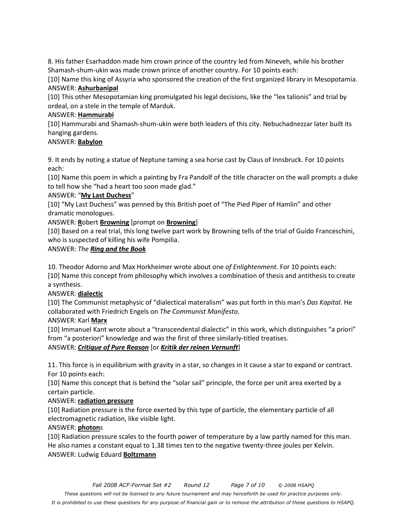8. His father Esarhaddon made him crown prince of the country led from Nineveh, while his brother Shamash-shum-ukin was made crown prince of another country. For 10 points each:

[10] Name this king of Assyria who sponsored the creation of the first organized library in Mesopotamia. ANSWER: **Ashurbanipal**

[10] This other Mesopotamian king promulgated his legal decisions, like the "lex talionis" and trial by ordeal, on a stele in the temple of Marduk.

#### ANSWER: **Hammurabi**

[10] Hammurabi and Shamash-shum-ukin were both leaders of this city. Nebuchadnezzar later built its hanging gardens.

#### ANSWER: **Babylon**

9. It ends by noting a statue of Neptune taming a sea horse cast by Claus of Innsbruck. For 10 points each:

[10] Name this poem in which a painting by Fra Pandolf of the title character on the wall prompts a duke to tell how she "had a heart too soon made glad."

## ANSWER: "**My Last Duchess**"

[10] "My Last Duchess" was penned by this British poet of "The Pied Piper of Hamlin" and other dramatic monologues.

## ANSWER: **R**obert **Browning** [prompt on **Browning**]

[10] Based on a real trial, this long twelve part work by Browning tells of the trial of Guido Franceschini, who is suspected of killing his wife Pompilia.

## ANSWER: *The Ring and the Book*

10. Theodor Adorno and Max Horkheimer wrote about one *of Enlightenment*. For 10 points each:

[10] Name this concept from philosophy which involves a combination of thesis and antithesis to create a synthesis.

## ANSWER: **dialectic**

[10] The Communist metaphysic of "dialectical materalism" was put forth in this man's *Das Kapital*. He collaborated with Friedrich Engels on *The Communist Manifesto*.

## ANSWER: Karl **Marx**

[10] Immanuel Kant wrote about a "transcendental dialectic" in this work, which distinguishes "a priori" from "a posteriori" knowledge and was the first of three similarly-titled treatises.

## ANSWER: *Critique of Pure Reason* [or *Kritik der reinen Vernunft*]

11. This force is in equilibrium with gravity in a star, so changes in it cause a star to expand or contract. For 10 points each:

[10] Name this concept that is behind the "solar sail" principle, the force per unit area exerted by a certain particle.

## ANSWER: **radiation pressure**

[10] Radiation pressure is the force exerted by this type of particle, the elementary particle of all electromagnetic radiation, like visible light.

## ANSWER: **photon**s

[10] Radiation pressure scales to the fourth power of temperature by a law partly named for this man. He also names a constant equal to 1.38 times ten to the negative twenty-three joules per Kelvin. ANSWER: Ludwig Eduard **Boltzmann**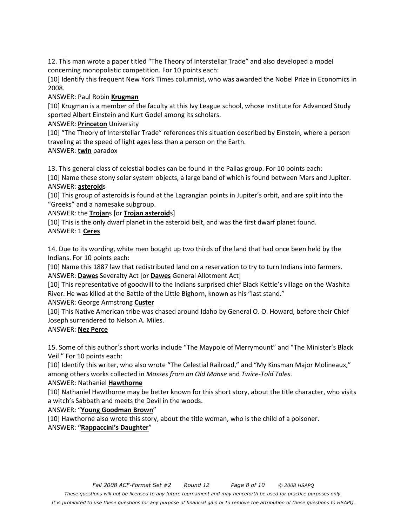12. This man wrote a paper titled "The Theory of Interstellar Trade" and also developed a model concerning monopolistic competition. For 10 points each:

[10] Identify this frequent New York Times columnist, who was awarded the Nobel Prize in Economics in 2008.

ANSWER: Paul Robin **Krugman**

[10] Krugman is a member of the faculty at this Ivy League school, whose Institute for Advanced Study sported Albert Einstein and Kurt Godel among its scholars.

#### ANSWER: **Princeton** University

[10] "The Theory of Interstellar Trade" references this situation described by Einstein, where a person traveling at the speed of light ages less than a person on the Earth. ANSWER: **twin** paradox

13. This general class of celestial bodies can be found in the Pallas group. For 10 points each:

[10] Name these stony solar system objects, a large band of which is found between Mars and Jupiter. ANSWER: **asteroid**s

[10] This group of asteroids is found at the Lagrangian points in Jupiter's orbit, and are split into the "Greeks" and a namesake subgroup.

ANSWER: the **Trojan**s [or **Trojan asteroid**s]

[10] This is the only dwarf planet in the asteroid belt, and was the first dwarf planet found. ANSWER: 1 **Ceres**

14. Due to its wording, white men bought up two thirds of the land that had once been held by the Indians. For 10 points each:

[10] Name this 1887 law that redistributed land on a reservation to try to turn Indians into farmers. ANSWER: **Dawes** Severalty Act [or **Dawes** General Allotment Act]

[10] This representative of goodwill to the Indians surprised chief Black Kettle's village on the Washita River. He was killed at the Battle of the Little Bighorn, known as his "last stand."

ANSWER: George Armstrong **Custer**

[10] This Native American tribe was chased around Idaho by General O. O. Howard, before their Chief Joseph surrendered to Nelson A. Miles.

## ANSWER: **Nez Perce**

15. Some of this author's short works include "The Maypole of Merrymount" and "The Minister's Black Veil." For 10 points each:

[10] Identify this writer, who also wrote "The Celestial Railroad," and "My Kinsman Major Molineaux," among others works collected in *Mosses from an Old Manse* and *Twice-Told Tales*.

#### ANSWER: Nathaniel **Hawthorne**

[10] Nathaniel Hawthorne may be better known for this short story, about the title character, who visits a witch's Sabbath and meets the Devil in the woods.

#### ANSWER: "**Young Goodman Brown**"

[10] Hawthorne also wrote this story, about the title woman, who is the child of a poisoner. ANSWER: **"Rappaccini's Daughter**"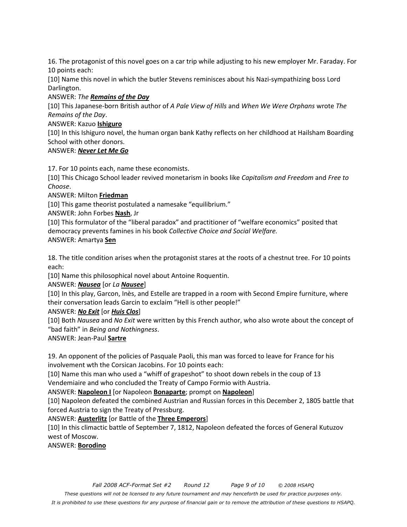16. The protagonist of this novel goes on a car trip while adjusting to his new employer Mr. Faraday. For 10 points each:

[10] Name this novel in which the butler Stevens reminisces about his Nazi-sympathizing boss Lord Darlington.

## ANSWER: *The Remains of the Day*

[10] This Japanese-born British author of *A Pale View of Hills* and *When We Were Orphans* wrote *The Remains of the Day*.

#### ANSWER: Kazuo **Ishiguro**

[10] In this Ishiguro novel, the human organ bank Kathy reflects on her childhood at Hailsham Boarding School with other donors.

## ANSWER: *Never Let Me Go*

17. For 10 points each, name these economists.

[10] This Chicago School leader revived monetarism in books like *Capitalism and Freedom* and *Free to Choose*.

ANSWER: Milton **Friedman**

[10] This game theorist postulated a namesake "equilibrium."

ANSWER: John Forbes **Nash**, Jr

[10] This formulator of the "liberal paradox" and practitioner of "welfare economics" posited that democracy prevents famines in his book *Collective Choice and Social Welfare.*  ANSWER: Amartya **Sen**

18. The title condition arises when the protagonist stares at the roots of a chestnut tree. For 10 points each:

[10] Name this philosophical novel about Antoine Roquentin.

ANSWER: *Nausea* [or *La Nausee*]

[10] In this play, Garcon, Inès, and Estelle are trapped in a room with Second Empire furniture, where their conversation leads Garcin to exclaim "Hell is other people!"

## ANSWER: *No Exit* [or *Huis Clos*]

[10] Both *Nausea* and *No Exit* were written by this French author, who also wrote about the concept of "bad faith" in *Being and Nothingness*.

## ANSWER: Jean-Paul **Sartre**

19. An opponent of the policies of Pasquale Paoli, this man was forced to leave for France for his involvement wth the Corsican Jacobins. For 10 points each:

[10] Name this man who used a "whiff of grapeshot" to shoot down rebels in the coup of 13 Vendemiaire and who concluded the Treaty of Campo Formio with Austria.

## ANSWER: **Napoleon I** [or Napoleon **Bonaparte**; prompt on **Napoleon**]

[10] Napoleon defeated the combined Austrian and Russian forces in this December 2, 1805 battle that forced Austria to sign the Treaty of Pressburg.

## ANSWER: **Austerlitz** [or Battle of the **Three Emperors**]

[10] In this climactic battle of September 7, 1812, Napoleon defeated the forces of General Kutuzov west of Moscow.

ANSWER: **Borodino**

*These questions will not be licensed to any future tournament and may henceforth be used for practice purposes only.* 

*It is prohibited to use these questions for any purpose of financial gain or to remove the attribution of these questions to HSAPQ.*